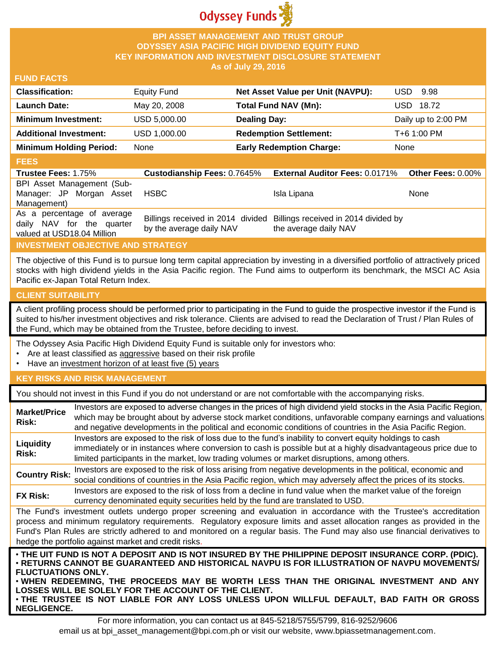

### **BPI ASSET MANAGEMENT AND TRUST GROUP ODYSSEY ASIA PACIFIC HIGH DIVIDEND EQUITY FUND KEY INFORMATION AND INVESTMENT DISCLOSURE STATEMENT As of July 29, 2016**

### **FUND FACTS**

| <b>Classification:</b>         | <b>Equity Fund</b> | Net Asset Value per Unit (NAVPU): | USD.<br>9.98        |
|--------------------------------|--------------------|-----------------------------------|---------------------|
| <b>Launch Date:</b>            | May 20, 2008       | Total Fund NAV (Mn):              | USD 18.72           |
| <b>Minimum Investment:</b>     | USD 5,000.00       | <b>Dealing Day:</b>               | Daily up to 2:00 PM |
| <b>Additional Investment:</b>  | USD 1,000.00       | <b>Redemption Settlement:</b>     | T+6 1:00 PM         |
| <b>Minimum Holding Period:</b> | None               | <b>Early Redemption Charge:</b>   | None                |

### **FEES**

| <b>Trustee Fees: 1.75%</b>                                                            | <b>Custodianship Fees: 0.7645%</b> | <b>External Auditor Fees: 0.0171% Other Fees: 0.00%</b>                                         |             |
|---------------------------------------------------------------------------------------|------------------------------------|-------------------------------------------------------------------------------------------------|-------------|
| BPI Asset Management (Sub-                                                            |                                    |                                                                                                 |             |
| Manager: JP Morgan Asset                                                              | HSBC                               | Isla Lipana                                                                                     | <b>None</b> |
| Management)                                                                           |                                    |                                                                                                 |             |
| As a percentage of average<br>daily NAV for the quarter<br>valued at USD18.04 Million | by the average daily NAV           | Billings received in 2014 divided Billings received in 2014 divided by<br>the average daily NAV |             |

# **INVESTMENT OBJECTIVE AND STRATEGY**

The objective of this Fund is to pursue long term capital appreciation by investing in a diversified portfolio of attractively priced stocks with high dividend yields in the Asia Pacific region. The Fund aims to outperform its benchmark, the MSCI AC Asia Pacific ex-Japan Total Return Index.

### **CLIENT SUITABILITY**

**NEGLIGENCE.**

A client profiling process should be performed prior to participating in the Fund to guide the prospective investor if the Fund is suited to his/her investment objectives and risk tolerance. Clients are advised to read the Declaration of Trust / Plan Rules of the Fund, which may be obtained from the Trustee, before deciding to invest.

The Odyssey Asia Pacific High Dividend Equity Fund is suitable only for investors who:

- Are at least classified as aggressive based on their risk profile
- Have an investment horizon of at least five (5) years

### **KEY RISKS AND RISK MANAGEMENT**

You should not invest in this Fund if you do not understand or are not comfortable with the accompanying risks.

| <b>Market/Price</b><br>Risk:                                                                                                                                                                                                                                                                                                                                                                                                         | Investors are exposed to adverse changes in the prices of high dividend yield stocks in the Asia Pacific Region,<br>which may be brought about by adverse stock market conditions, unfavorable company earnings and valuations<br>and negative developments in the political and economic conditions of countries in the Asia Pacific Region. |  |  |  |
|--------------------------------------------------------------------------------------------------------------------------------------------------------------------------------------------------------------------------------------------------------------------------------------------------------------------------------------------------------------------------------------------------------------------------------------|-----------------------------------------------------------------------------------------------------------------------------------------------------------------------------------------------------------------------------------------------------------------------------------------------------------------------------------------------|--|--|--|
| Liquidity<br><b>Risk:</b>                                                                                                                                                                                                                                                                                                                                                                                                            | Investors are exposed to the risk of loss due to the fund's inability to convert equity holdings to cash<br>immediately or in instances where conversion to cash is possible but at a highly disadvantageous price due to<br>limited participants in the market, low trading volumes or market disruptions, among others.                     |  |  |  |
| <b>Country Risk:</b>                                                                                                                                                                                                                                                                                                                                                                                                                 | Investors are exposed to the risk of loss arising from negative developments in the political, economic and<br>social conditions of countries in the Asia Pacific region, which may adversely affect the prices of its stocks.                                                                                                                |  |  |  |
| <b>FX Risk:</b>                                                                                                                                                                                                                                                                                                                                                                                                                      | Investors are exposed to the risk of loss from a decline in fund value when the market value of the foreign<br>currency denominated equity securities held by the fund are translated to USD.                                                                                                                                                 |  |  |  |
| The Fund's investment outlets undergo proper screening and evaluation in accordance with the Trustee's accreditation<br>process and minimum regulatory requirements. Regulatory exposure limits and asset allocation ranges as provided in the<br>Fund's Plan Rules are strictly adhered to and monitored on a regular basis. The Fund may also use financial derivatives to<br>hedge the portfolio against market and credit risks. |                                                                                                                                                                                                                                                                                                                                               |  |  |  |
| . THE UIT FUND IS NOT A DEPOSIT AND IS NOT INSURED BY THE PHILIPPINE DEPOSIT INSURANCE CORP. (PDIC).<br>⋅RETURNS CANNOT BE GUARANTEED AND HISTORICAL NAVPU IS FOR ILLUSTRATION OF NAVPU MOVEMENTS/<br><b>FLUCTUATIONS ONLY.</b><br>. WHEN REDEEMING, THE PROCEEDS MAY BE WORTH LESS THAN THE ORIGINAL INVESTMENT AND ANY<br>LOSSES WILL BE SOLELY FOR THE ACCOUNT OF THE CLIENT.                                                     |                                                                                                                                                                                                                                                                                                                                               |  |  |  |

For more information, you can contact us at 845-5218/5755/5799, 816-9252/9606 email us at bpi\_asset\_management@bpi.com.ph or visit our website, www.bpiassetmanagement.com.

• **THE TRUSTEE IS NOT LIABLE FOR ANY LOSS UNLESS UPON WILLFUL DEFAULT, BAD FAITH OR GROSS**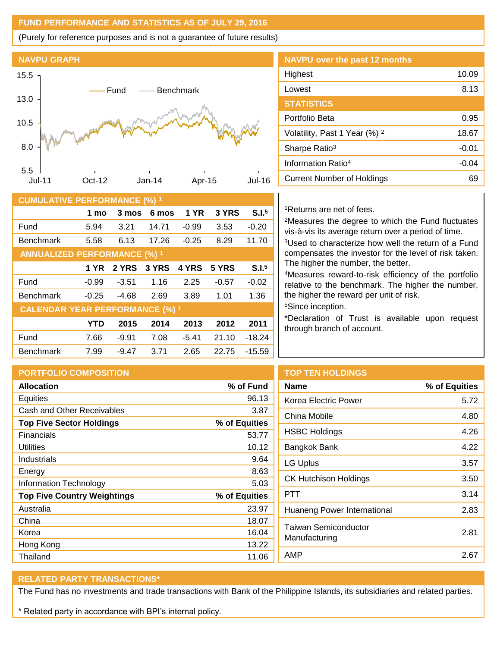## **FUND PERFORMANCE AND STATISTICS AS OF JULY 29, 2016**

(Purely for reference purposes and is not a guarantee of future results)



| <b>CUMULATIVE PERFORMANCE (%) 1</b>    |            |         |       |         |         |                   |
|----------------------------------------|------------|---------|-------|---------|---------|-------------------|
|                                        | 1 mo       | 3 mos   | 6 mos | 1 YR    | 3 YRS   | S.I. <sup>5</sup> |
| Fund                                   | 5.94       | 3.21    | 14.71 | $-0.99$ | 3.53    | $-0.20$           |
| <b>Benchmark</b>                       | 5.58       | 6.13    | 17.26 | $-0.25$ | 8.29    | 11.70             |
| <b>ANNUALIZED PERFORMANCE (%) 1</b>    |            |         |       |         |         |                   |
|                                        | 1 YR       | 2 YRS   | 3 YRS | 4 YRS   | 5 YRS   | S.I. <sup>5</sup> |
| Fund                                   | $-0.99$    | $-3.51$ | 1.16  | 2.25    | $-0.57$ | $-0.02$           |
| <b>Benchmark</b>                       | $-0.25$    | $-4.68$ | 2.69  | 3.89    | 1.01    | 1.36              |
| <b>CALENDAR YEAR PERFORMANCE (%) 1</b> |            |         |       |         |         |                   |
|                                        | <b>YTD</b> | 2015    | 2014  | 2013    | 2012    | 2011              |
| Fund                                   | 7.66       | $-9.91$ | 7.08  | $-5.41$ | 21.10   | $-18.24$          |
| <b>Benchmark</b>                       | 7.99       | $-9.47$ | 3.71  | 2.65    | 22.75   | $-15.59$          |

| NAVPU over the past 12 months            |         |
|------------------------------------------|---------|
| Highest                                  | 10.09   |
| Lowest                                   | 8.13    |
| <b>STATISTICS</b>                        |         |
| Portfolio Beta                           | 0.95    |
| Volatility, Past 1 Year (%) <sup>2</sup> | 18.67   |
| Sharpe Ratio <sup>3</sup>                | $-0.01$ |
| Information Ratio <sup>4</sup>           | $-0.04$ |
| Current Number of Holdings               | 69      |
|                                          |         |

### <sup>1</sup>Returns are net of fees.

<sup>2</sup>Measures the degree to which the Fund fluctuates vis-à-vis its average return over a period of time.

<sup>3</sup>Used to characterize how well the return of a Fund compensates the investor for the level of risk taken. The higher the number, the better.

<sup>4</sup>Measures reward-to-risk efficiency of the portfolio relative to the benchmark. The higher the number, the higher the reward per unit of risk.

<sup>5</sup>Since inception.

\*Declaration of Trust is available upon request through branch of account.

| <b>PORTFOLIO COMPOSITION</b>       |               | <b>TOP TEN HOLDINGS</b>                      |               |
|------------------------------------|---------------|----------------------------------------------|---------------|
| <b>Allocation</b>                  | % of Fund     | <b>Name</b>                                  | % of Equities |
| Equities                           | 96.13         | Korea Electric Power                         | 5.72          |
| Cash and Other Receivables         | 3.87          | China Mobile                                 | 4.80          |
| <b>Top Five Sector Holdings</b>    | % of Equities |                                              |               |
| <b>Financials</b>                  | 53.77         | <b>HSBC Holdings</b>                         | 4.26          |
| <b>Utilities</b>                   | 10.12         | <b>Bangkok Bank</b>                          | 4.22          |
| Industrials                        | 9.64          | <b>LG Uplus</b>                              | 3.57          |
| Energy                             | 8.63          |                                              | 3.50          |
| <b>Information Technology</b>      | 5.03          | <b>CK Hutchison Holdings</b>                 |               |
| <b>Top Five Country Weightings</b> | % of Equities | <b>PTT</b>                                   | 3.14          |
| Australia                          | 23.97         | Huaneng Power International                  | 2.83          |
| China                              | 18.07         |                                              |               |
| Korea                              | 16.04         | <b>Taiwan Semiconductor</b><br>Manufacturing |               |
| Hong Kong                          | 13.22         |                                              |               |
| Thailand                           | 11.06         | AMP                                          | 2.67          |
|                                    |               |                                              |               |

## **RELATED PARTY TRANSACTIONS\***

The Fund has no investments and trade transactions with Bank of the Philippine Islands, its subsidiaries and related parties.

\* Related party in accordance with BPI's internal policy.